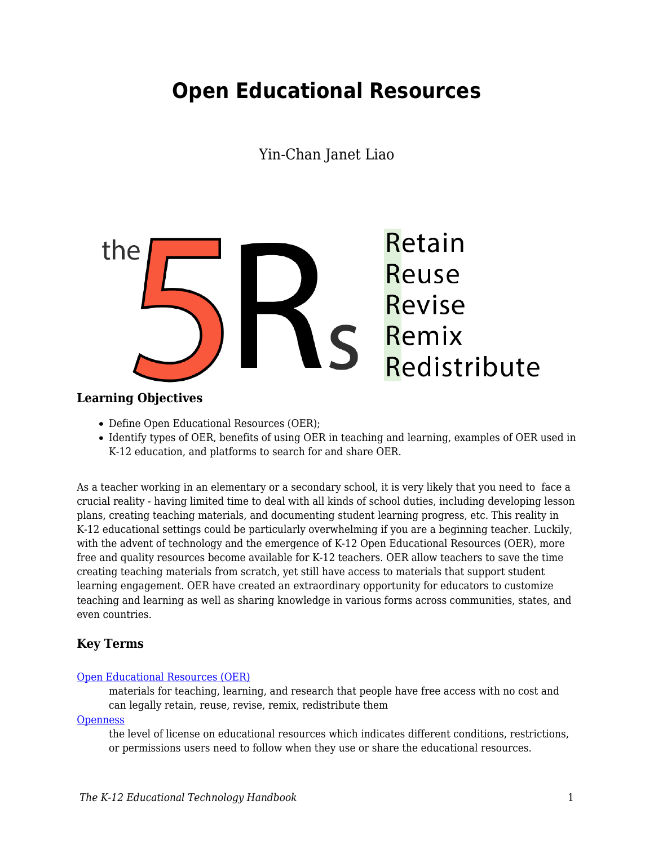# **Open Educational Resources**

Yin-Chan Janet Liao



#### **Learning Objectives**

- Define Open Educational Resources (OER);
- Identify types of OER, benefits of using OER in teaching and learning, examples of OER used in K-12 education, and platforms to search for and share OER.

As a teacher working in an elementary or a secondary school, it is very likely that you need to face a crucial reality - having limited time to deal with all kinds of school duties, including developing lesson plans, creating teaching materials, and documenting student learning progress, etc. This reality in K-12 educational settings could be particularly overwhelming if you are a beginning teacher. Luckily, with the advent of technology and the emergence of K-12 Open Educational Resources (OER), more free and quality resources become available for K-12 teachers. OER allow teachers to save the time creating teaching materials from scratch, yet still have access to materials that support student learning engagement. OER have created an extraordinary opportunity for educators to customize teaching and learning as well as sharing knowledge in various forms across communities, states, and even countries.

#### **Key Terms**

#### [Open Educational Resources \(OER\)](https://edtechbooks.org/k12handbook/glossary#oer)

materials for teaching, learning, and research that people have free access with no cost and can legally retain, reuse, revise, remix, redistribute them

**[Openness](https://edtechbooks.org/k12handbook/glossary#openness)** 

the level of license on educational resources which indicates different conditions, restrictions, or permissions users need to follow when they use or share the educational resources.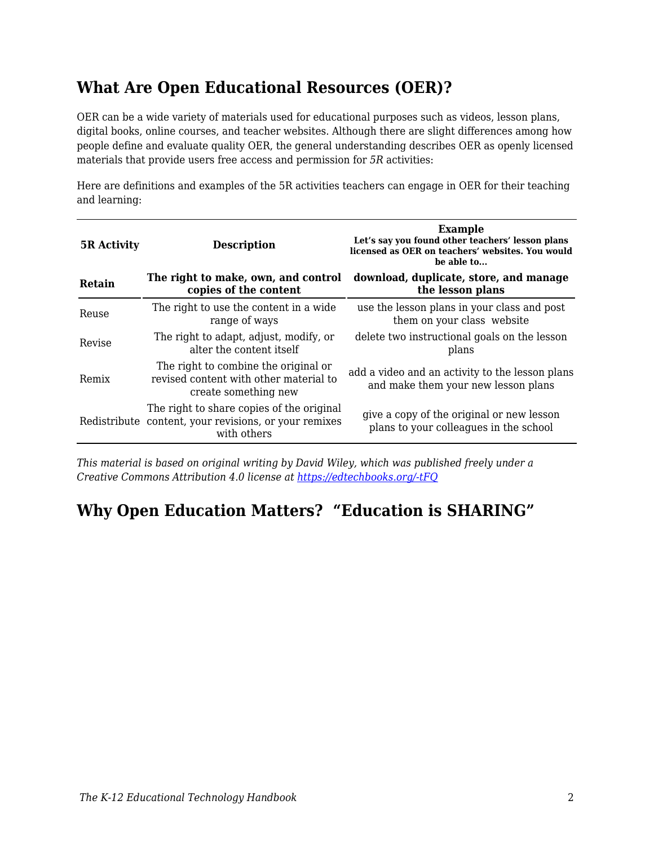## **What Are Open Educational Resources (OER)?**

OER can be a wide variety of materials used for educational purposes such as videos, lesson plans, digital books, online courses, and teacher websites. Although there are slight differences among how people define and evaluate quality OER, the general understanding describes OER as openly licensed materials that provide users free access and permission for *5R* activities:

Here are definitions and examples of the 5R activities teachers can engage in OER for their teaching and learning:

| <b>5R Activity</b> | <b>Description</b>                                                                                                | <b>Example</b><br>Let's say you found other teachers' lesson plans<br>licensed as OER on teachers' websites. You would<br>be able to |
|--------------------|-------------------------------------------------------------------------------------------------------------------|--------------------------------------------------------------------------------------------------------------------------------------|
| Retain             | The right to make, own, and control<br>copies of the content                                                      | download, duplicate, store, and manage<br>the lesson plans                                                                           |
| Reuse              | The right to use the content in a wide.<br>range of ways                                                          | use the lesson plans in your class and post<br>them on your class website                                                            |
| Revise             | The right to adapt, adjust, modify, or<br>alter the content itself                                                | delete two instructional goals on the lesson<br>plans                                                                                |
| Remix              | The right to combine the original or<br>revised content with other material to<br>create something new            | add a video and an activity to the lesson plans<br>and make them your new lesson plans                                               |
|                    | The right to share copies of the original<br>Redistribute content, your revisions, or your remixes<br>with others | give a copy of the original or new lesson<br>plans to your colleagues in the school                                                  |

*This material is based on original writing by David Wiley, which was published freely under a Creative Commons Attribution 4.0 license at<https://edtechbooks.org/-tFQ>*

## **Why Open Education Matters? "Education is SHARING"**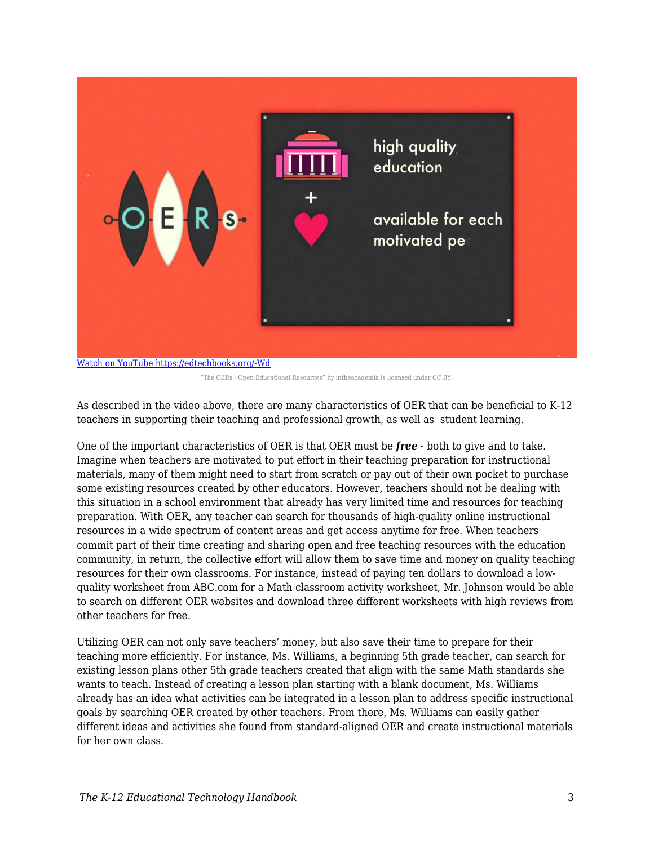

[Watch on YouTube https://edtechbooks.org/-Wd](https://www.youtube.com/embed/-xGRztrWv-k?autoplay=1&rel=0&showinfo=0&modestbranding=1)

"The OERs - Open Educational Resources" by intheacademia is licensed under CC BY.

As described in the video above, there are many characteristics of OER that can be beneficial to K-12 teachers in supporting their teaching and professional growth, as well as student learning.

One of the important characteristics of OER is that OER must be *free* - both to give and to take. Imagine when teachers are motivated to put effort in their teaching preparation for instructional materials, many of them might need to start from scratch or pay out of their own pocket to purchase some existing resources created by other educators. However, teachers should not be dealing with this situation in a school environment that already has very limited time and resources for teaching preparation. With OER, any teacher can search for thousands of high-quality online instructional resources in a wide spectrum of content areas and get access anytime for free. When teachers commit part of their time creating and sharing open and free teaching resources with the education community, in return, the collective effort will allow them to save time and money on quality teaching resources for their own classrooms. For instance, instead of paying ten dollars to download a lowquality worksheet from ABC.com for a Math classroom activity worksheet, Mr. Johnson would be able to search on different OER websites and download three different worksheets with high reviews from other teachers for free.

Utilizing OER can not only save teachers' money, but also save their time to prepare for their teaching more efficiently. For instance, Ms. Williams, a beginning 5th grade teacher, can search for existing lesson plans other 5th grade teachers created that align with the same Math standards she wants to teach. Instead of creating a lesson plan starting with a blank document, Ms. Williams already has an idea what activities can be integrated in a lesson plan to address specific instructional goals by searching OER created by other teachers. From there, Ms. Williams can easily gather different ideas and activities she found from standard-aligned OER and create instructional materials for her own class.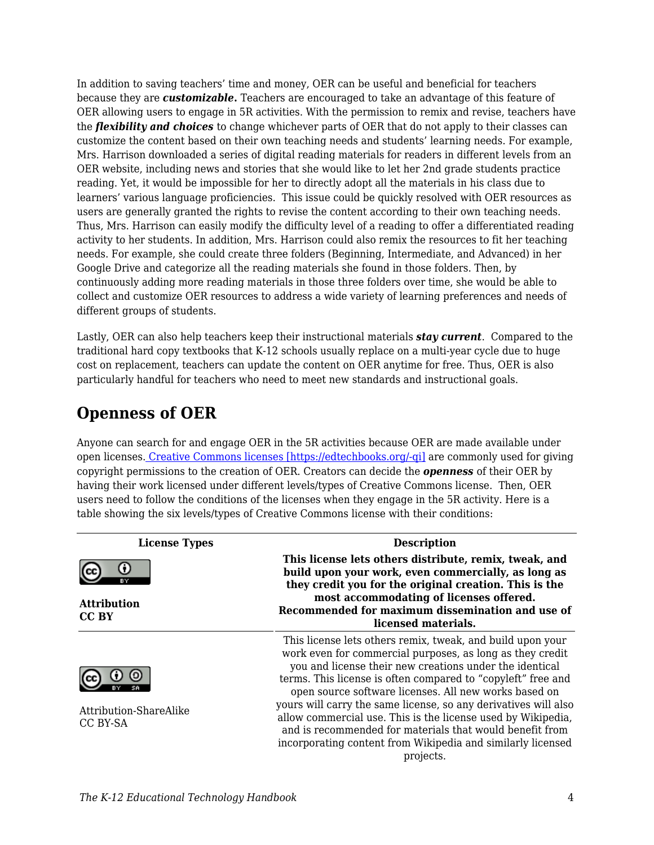In addition to saving teachers' time and money, OER can be useful and beneficial for teachers because they are *customizable***.** Teachers are encouraged to take an advantage of this feature of OER allowing users to engage in 5R activities. With the permission to remix and revise, teachers have the *flexibility and choices* to change whichever parts of OER that do not apply to their classes can customize the content based on their own teaching needs and students' learning needs. For example, Mrs. Harrison downloaded a series of digital reading materials for readers in different levels from an OER website, including news and stories that she would like to let her 2nd grade students practice reading. Yet, it would be impossible for her to directly adopt all the materials in his class due to learners' various language proficiencies. This issue could be quickly resolved with OER resources as users are generally granted the rights to revise the content according to their own teaching needs. Thus, Mrs. Harrison can easily modify the difficulty level of a reading to offer a differentiated reading activity to her students. In addition, Mrs. Harrison could also remix the resources to fit her teaching needs. For example, she could create three folders (Beginning, Intermediate, and Advanced) in her Google Drive and categorize all the reading materials she found in those folders. Then, by continuously adding more reading materials in those three folders over time, she would be able to collect and customize OER resources to address a wide variety of learning preferences and needs of different groups of students.

Lastly, OER can also help teachers keep their instructional materials *stay current*. Compared to the traditional hard copy textbooks that K-12 schools usually replace on a multi-year cycle due to huge cost on replacement, teachers can update the content on OER anytime for free. Thus, OER is also particularly handful for teachers who need to meet new standards and instructional goals.

### **Openness of OER**

Anyone can search for and engage OER in the 5R activities because OER are made available under open licenses[. Creative Commons licenses \[https://edtechbooks.org/-qi\]](https://creativecommons.org/licenses/) are commonly used for giving copyright permissions to the creation of OER. Creators can decide the *openness* of their OER by having their work licensed under different levels/types of Creative Commons license. Then, OER users need to follow the conditions of the licenses when they engage in the 5R activity. Here is a table showing the six levels/types of Creative Commons license with their conditions:

| <b>License Types</b>               | <b>Description</b>                                                                                                                                                                                                                                                                                                                                                                                                                                                                                                                                                                     |  |
|------------------------------------|----------------------------------------------------------------------------------------------------------------------------------------------------------------------------------------------------------------------------------------------------------------------------------------------------------------------------------------------------------------------------------------------------------------------------------------------------------------------------------------------------------------------------------------------------------------------------------------|--|
|                                    | This license lets others distribute, remix, tweak, and<br>build upon your work, even commercially, as long as<br>they credit you for the original creation. This is the                                                                                                                                                                                                                                                                                                                                                                                                                |  |
| <b>Attribution</b><br>CC BY        | most accommodating of licenses offered.<br>Recommended for maximum dissemination and use of<br>licensed materials.                                                                                                                                                                                                                                                                                                                                                                                                                                                                     |  |
| Attribution-ShareAlike<br>CC BY-SA | This license lets others remix, tweak, and build upon your<br>work even for commercial purposes, as long as they credit<br>you and license their new creations under the identical<br>terms. This license is often compared to "copyleft" free and<br>open source software licenses. All new works based on<br>yours will carry the same license, so any derivatives will also<br>allow commercial use. This is the license used by Wikipedia,<br>and is recommended for materials that would benefit from<br>incorporating content from Wikipedia and similarly licensed<br>projects. |  |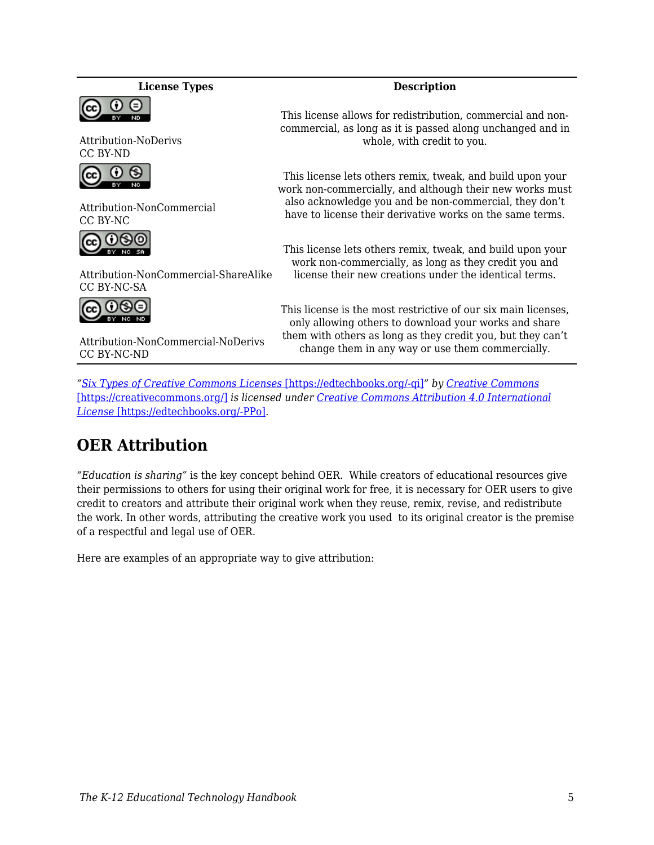#### **License Types Description**



Attribution-NoDerivs CC BY-ND



Attribution-NonCommercial CC BY-NC

**@ 0®** 

Attribution-NonCommercial-ShareAlike CC BY-NC-SA



This license allows for redistribution, commercial and noncommercial, as long as it is passed along unchanged and in whole, with credit to you.

This license lets others remix, tweak, and build upon your work non-commercially, and although their new works must also acknowledge you and be non-commercial, they don't have to license their derivative works on the same terms.

This license lets others remix, tweak, and build upon your work non-commercially, as long as they credit you and license their new creations under the identical terms.

This license is the most restrictive of our six main licenses, only allowing others to download your works and share them with others as long as they credit you, but they can't change them in any way or use them commercially.

Attribution-NonCommercial-NoDerivs CC BY-NC-ND

*"[Six Types of Creative Commons Licenses](https://creativecommons.org/licenses/)* [\[https://edtechbooks.org/-qi\]](https://creativecommons.org/licenses/)*" by [Creative Commons](https://creativecommons.org/)* [\[https://creativecommons.org/\]](https://creativecommons.org/) *is licensed under [Creative Commons Attribution 4.0 International](http://creativecommons.org/licenses/by/4.0/) [License](http://creativecommons.org/licenses/by/4.0/)* [\[https://edtechbooks.org/-PPo\]](http://creativecommons.org/licenses/by/4.0/)*.*

### **OER Attribution**

*"Education is sharing"* is the key concept behind OER. While creators of educational resources give their permissions to others for using their original work for free, it is necessary for OER users to give credit to creators and attribute their original work when they reuse, remix, revise, and redistribute the work. In other words, attributing the creative work you used to its original creator is the premise of a respectful and legal use of OER.

Here are examples of an appropriate way to give attribution: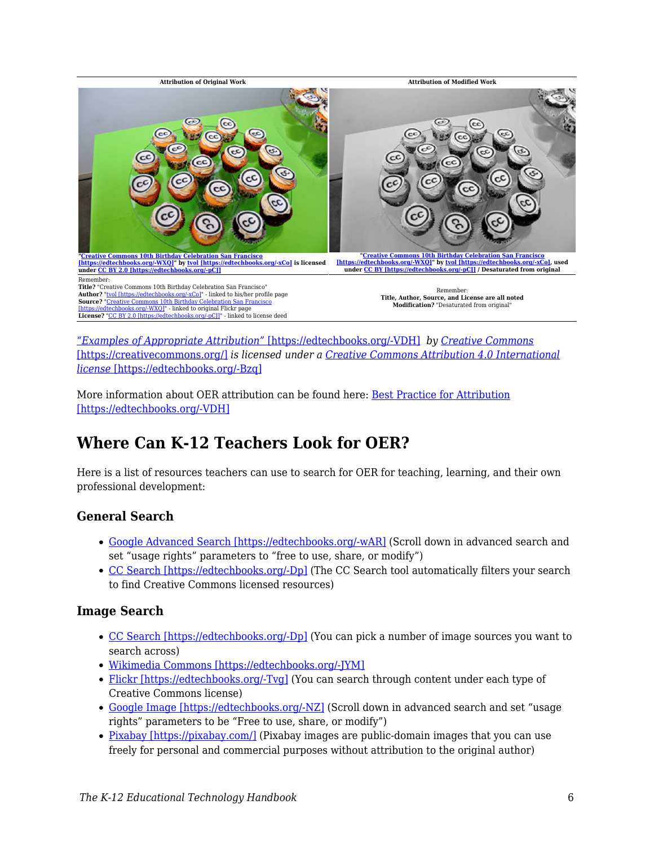

*["Examples of Appropriate Attribution"](https://wiki.creativecommons.org/wiki/Best_practices_for_attribution)* [\[https://edtechbooks.org/-VDH\]](https://wiki.creativecommons.org/wiki/Best_practices_for_attribution) *by [Creative Commons](https://creativecommons.org/)* [\[https://creativecommons.org/\]](https://creativecommons.org/) *is licensed under a [Creative Commons Attribution 4.0 International](https://creativecommons.org/licenses/by/4.0/) [license](https://creativecommons.org/licenses/by/4.0/)* [\[https://edtechbooks.org/-Bzq\]](https://creativecommons.org/licenses/by/4.0/)

More information about OER attribution can be found here: [Best Practice for Attribution](https://wiki.creativecommons.org/wiki/Best_practices_for_attribution) [\[https://edtechbooks.org/-VDH\]](https://wiki.creativecommons.org/wiki/Best_practices_for_attribution)

### **Where Can K-12 Teachers Look for OER?**

Here is a list of resources teachers can use to search for OER for teaching, learning, and their own professional development:

### **General Search**

- [Google Advanced Search \[https://edtechbooks.org/-wAR\]](https://www.google.com/advanced_search?hl=en) (Scroll down in advanced search and set "usage rights" parameters to "free to use, share, or modify")
- [CC Search \[https://edtechbooks.org/-Dp\]](https://search.creativecommons.org/) (The CC Search tool automatically filters your search to find Creative Commons licensed resources)

#### **Image Search**

- [CC Search \[https://edtechbooks.org/-Dp\]](https://search.creativecommons.org/) (You can pick a number of image sources you want to search across)
- [Wikimedia Commons \[https://edtechbooks.org/-JYM\]](https://commons.wikimedia.org/wiki/Main_Page)
- [Flickr \[https://edtechbooks.org/-Tvg\]](https://www.flickr.com/creativecommons) (You can search through content under each type of Creative Commons license)
- [Google Image \[https://edtechbooks.org/-NZ\]](https://www.google.com/advanced_image_search) (Scroll down in advanced search and set "usage rights" parameters to be "Free to use, share, or modify")
- [Pixabay \[https://pixabay.com/\]](https://pixabay.com/) (Pixabay images are public-domain images that you can use freely for personal and commercial purposes without attribution to the original author)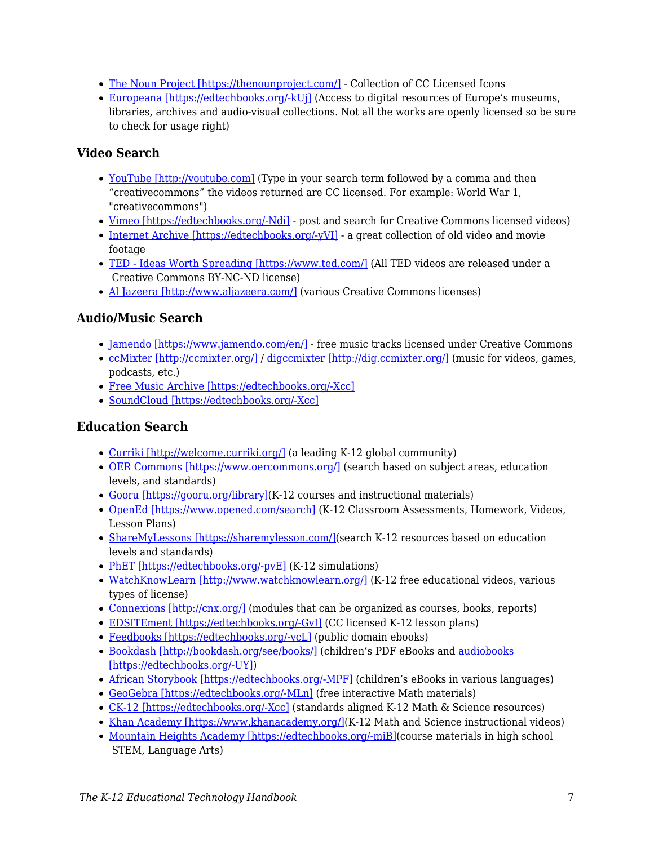- [The Noun Project \[https://thenounproject.com/\]](https://thenounproject.com/) Collection of CC Licensed Icons
- [Europeana \[https://edtechbooks.org/-kUj\]](http://www.europeana.eu/portal/en) (Access to digital resources of Europe's museums, libraries, archives and audio-visual collections. Not all the works are openly licensed so be sure to check for usage right)

### **Video Search**

- [YouTube \[http://youtube.com\]](http://youtube.com) (Type in your search term followed by a comma and then "creativecommons" the videos returned are CC licensed. For example: World War 1, "creativecommons")
- [Vimeo \[https://edtechbooks.org/-Ndi\]](https://vimeo.com/creativecommons) post and search for Creative Commons licensed videos)
- [Internet Archive \[https://edtechbooks.org/-yVI\]](https://archive.org/details/movies) a great collection of old video and movie footage
- [TED Ideas Worth Spreading \[https://www.ted.com/\]](https://www.ted.com/) (All TED videos are released under a Creative Commons BY-NC-ND license)
- [Al Jazeera \[http://www.aljazeera.com/\]](http://www.aljazeera.com/) (various Creative Commons licenses)

### **Audio/Music Search**

- [Jamendo \[https://www.jamendo.com/en/\]](https://www.jamendo.com/en/) free music tracks licensed under Creative Commons
- [ccMixter \[http://ccmixter.org/\]](http://ccmixter.org/) / [digccmixter \[http://dig.ccmixter.org/\]](http://dig.ccmixter.org/) (music for videos, games, podcasts, etc.)
- [Free Music Archive \[https://edtechbooks.org/-Xcc\]](http://freemusicarchive.org/curator/Creative_Commons/)
- [SoundCloud \[https://edtechbooks.org/-Xcc\]](http://freemusicarchive.org/curator/Creative_Commons/)

### **Education Search**

- [Curriki \[http://welcome.curriki.org/\]](http://welcome.curriki.org/) (a leading K-12 global community)
- [OER Commons \[https://www.oercommons.org/\]](https://www.oercommons.org/) (search based on subject areas, education levels, and standards)
- [Gooru \[https://gooru.org/library\]](https://gooru.org/library)(K-12 courses and instructional materials)
- [OpenEd \[https://www.opened.com/search\]](https://www.opened.com/search) (K-12 Classroom Assessments, Homework, Videos, Lesson Plans)
- [ShareMyLessons \[https://sharemylesson.com/\]](https://sharemylesson.com/)(search K-12 resources based on education levels and standards)
- [PhET \[https://edtechbooks.org/-pvE\]](https://phet.colorado.edu/en/simulations/category/new) (K-12 simulations)
- [WatchKnowLearn \[http://www.watchknowlearn.org/\]](http://www.watchknowlearn.org/) (K-12 free educational videos, various types of license)
- [Connexions \[http://cnx.org/\]](http://cnx.org/) (modules that can be organized as courses, books, reports)
- [EDSITEment \[https://edtechbooks.org/-GvI\]](https://edsitement.neh.gov/lesson-plans) (CC licensed K-12 lesson plans)
- [Feedbooks \[https://edtechbooks.org/-vcL\]](http://www.feedbooks.com/publicdomain) (public domain ebooks)
- [Bookdash \[http://bookdash.org/see/books/\]](http://bookdash.org/see/books/) (children's PDF eBooks and [audiobooks](http://bookdash.org/tag/audiobooks/) [\[https://edtechbooks.org/-UY\]\)](http://bookdash.org/tag/audiobooks/)
- [African Storybook \[https://edtechbooks.org/-MPF\]](http://www.africanstorybook.org/) (children's eBooks in various languages)
- [GeoGebra \[https://edtechbooks.org/-MLn\]](https://www.geogebra.org/materials/) (free interactive Math materials)
- [CK-12 \[https://edtechbooks.org/-Xcc\]](http://freemusicarchive.org/curator/Creative_Commons/) (standards aligned K-12 Math & Science resources)
- [Khan Academy \[https://www.khanacademy.org/\]\(](https://www.khanacademy.org/)K-12 Math and Science instructional videos)
- [Mountain Heights Academy \[https://edtechbooks.org/-miB\]](http://openhighschoolcourses.org/course/index.php)(course materials in high school STEM, Language Arts)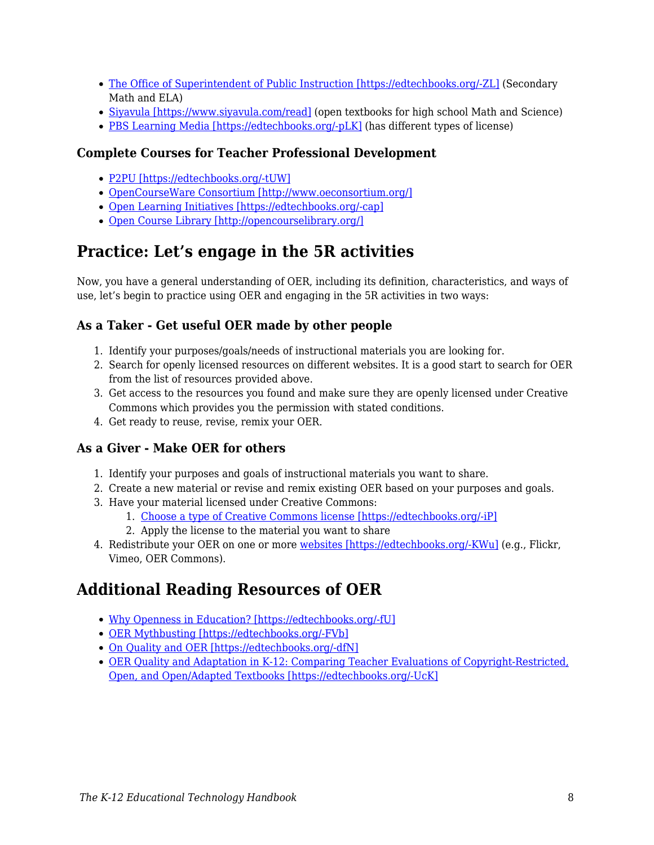- [The Office of Superintendent of Public Instruction \[https://edtechbooks.org/-ZL\]](http://digitallearning.k12.wa.us/oer/library/) (Secondary Math and ELA)
- [Siyavula \[https://www.siyavula.com/read\]](https://www.siyavula.com/read) (open textbooks for high school Math and Science)
- [PBS Learning Media \[https://edtechbooks.org/-pLK\]](https://indiana.pbslearningmedia.org/) (has different types of license)

#### **Complete Courses for Teacher Professional Development**

- [P2PU \[https://edtechbooks.org/-tUW\]](https://learningcircles.p2pu.org/en/courses/)
- [OpenCourseWare Consortium \[http://www.oeconsortium.org/\]](http://www.oeconsortium.org/)
- [Open Learning Initiatives \[https://edtechbooks.org/-cap\]](http://oli.cmu.edu/learn-with-oli/see-our-free-open-courses/)
- [Open Course Library \[http://opencourselibrary.org/\]](http://opencourselibrary.org/)

### **Practice: Let's engage in the 5R activities**

Now, you have a general understanding of OER, including its definition, characteristics, and ways of use, let's begin to practice using OER and engaging in the 5R activities in two ways:

### **As a Taker - Get useful OER made by other people**

- 1. Identify your purposes/goals/needs of instructional materials you are looking for.
- 2. Search for openly licensed resources on different websites. It is a good start to search for OER from the list of resources provided above.
- 3. Get access to the resources you found and make sure they are openly licensed under Creative Commons which provides you the permission with stated conditions.
- 4. Get ready to reuse, revise, remix your OER.

### **As a Giver - Make OER for others**

- 1. Identify your purposes and goals of instructional materials you want to share.
- 2. Create a new material or revise and remix existing OER based on your purposes and goals.
- 3. Have your material licensed under Creative Commons:
	- 1. [Choose a type of Creative Commons license \[https://edtechbooks.org/-iP\]](https://creativecommons.org/choose/)
	- 2. Apply the license to the material you want to share
- 4. Redistribute your OER on one or more [websites \[https://edtechbooks.org/-KWu\]](https://creativecommons.org/share-your-work/) (e.g., Flickr, Vimeo, OER Commons).

### **Additional Reading Resources of OER**

- [Why Openness in Education? \[https://edtechbooks.org/-fU\]](https://library.educause.edu/resources/2012/5/chapter-6-why-openness-in-education)
- [OER Mythbusting \[https://edtechbooks.org/-FVb\]](https://mythbusting.oerpolicy.eu/)
- [On Quality and OER \[https://edtechbooks.org/-dfN\]](https://opencontent.org/blog/archives/2947)
- [OER Quality and Adaptation in K-12: Comparing Teacher Evaluations of Copyright-Restricted,](http://www.irrodl.org/index.php/irrodl/article/view/2341/3405) [Open, and Open/Adapted Textbooks \[https://edtechbooks.org/-UcK\]](http://www.irrodl.org/index.php/irrodl/article/view/2341/3405)